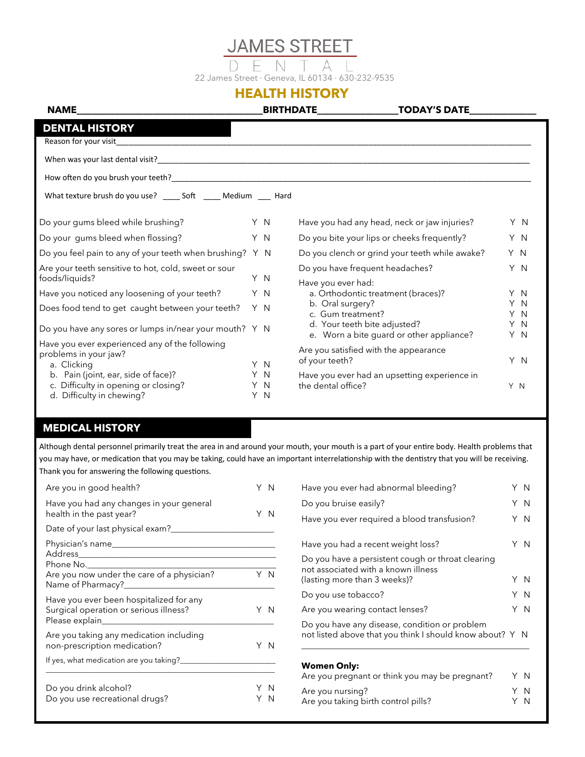# **JAMES STREET**

Д 22 James Street · Geneva, IL 60134 · 630-232-9535

## **HEALTH HISTORY**

**NAME\_\_\_\_\_\_\_\_\_\_\_\_\_\_\_\_\_\_\_\_\_\_\_\_\_\_\_\_\_\_\_\_\_\_\_\_\_\_\_BIRTHDATE\_\_\_\_\_\_\_\_\_\_\_\_\_\_\_\_\_TODAY'S DATE\_\_\_\_\_\_\_\_\_\_\_\_\_\_**

| <b>DENTAL HISTORY</b>                                                                                    |                   |                                                                          |            |
|----------------------------------------------------------------------------------------------------------|-------------------|--------------------------------------------------------------------------|------------|
| Reason for your visit                                                                                    |                   |                                                                          |            |
|                                                                                                          |                   |                                                                          |            |
|                                                                                                          |                   |                                                                          |            |
| What texture brush do you use? _____ Soft _____ Medium ____ Hard                                         |                   |                                                                          |            |
| Do your gums bleed while brushing?                                                                       | Y N               | Have you had any head, neck or jaw injuries?                             | Y N        |
| Do your gums bleed when flossing?                                                                        | Y N               | Do you bite your lips or cheeks frequently?                              | Y N        |
| Do you feel pain to any of your teeth when brushing?                                                     | Y N               | Do you clench or grind your teeth while awake?                           | Y N        |
| Are your teeth sensitive to hot, cold, sweet or sour<br>foods/liquids?                                   | Y N               | Do you have frequent headaches?<br>Have you ever had:                    | Y N        |
| Have you noticed any loosening of your teeth?                                                            | Y N               | a. Orthodontic treatment (braces)?                                       | Y N        |
| Does food tend to get caught between your teeth?                                                         | Y N               | b. Oral surgery?<br>c. Gum treatment?                                    | Y N<br>Y N |
| Do you have any sores or lumps in/near your mouth? Y N                                                   |                   | d. Your teeth bite adjusted?<br>e. Worn a bite guard or other appliance? | Y N<br>Y N |
| Have you ever experienced any of the following<br>problems in your jaw?<br>a. Clicking                   | Y N               | Are you satisfied with the appearance<br>of your teeth?                  | Y N        |
| b. Pain (joint, ear, side of face)?<br>c. Difficulty in opening or closing?<br>d. Difficulty in chewing? | Y N<br>Y N<br>Y N | Have you ever had an upsetting experience in<br>the dental office?       | Y N        |

### **MEDICAL HISTORY MEDICAL HISTORY**

Although dental personnel primarily treat the area in and around your mouth, your mouth is a part of your entire body. Health problems that you may have, or medication that you may be taking, could have an important interrelationship with the dentistry that you will be receiving. Thank you for answering the following questions.

| Are you in good health?                                                           | Y N |
|-----------------------------------------------------------------------------------|-----|
| Have you had any changes in your general<br>health in the past year?              | Y N |
|                                                                                   |     |
|                                                                                   |     |
| Are you now under the care of a physician?                                        | Y N |
| Have you ever been hospitalized for any<br>Surgical operation or serious illness? | Y N |
| Are you taking any medication including<br>non-prescription medication?           | ΥN  |
| If yes, what medication are you taking?                                           |     |
| Do you drink alcohol?<br>Do you use recreational drugs?                           | Y N |
|                                                                                   |     |

| Have you ever had abnormal bleeding?                                                                      |  |     |
|-----------------------------------------------------------------------------------------------------------|--|-----|
| Do you bruise easily?                                                                                     |  |     |
| Have you ever required a blood transfusion?                                                               |  | Y N |
| Have you had a recent weight loss?                                                                        |  | Y N |
| Do you have a persistent cough or throat clearing<br>not associated with a known illness                  |  |     |
| (lasting more than 3 weeks)?                                                                              |  | Y N |
| Do you use tobacco?                                                                                       |  | Y N |
| Are you wearing contact lenses?                                                                           |  | Y N |
| Do you have any disease, condition or problem<br>not listed above that you think I should know about? Y N |  |     |
|                                                                                                           |  |     |

#### **Women Only:**

| Are you pregnant or think you may be pregnant? | ΥN  |
|------------------------------------------------|-----|
| Are you nursing?                               | Y N |
| Are you taking birth control pills?            | Y N |